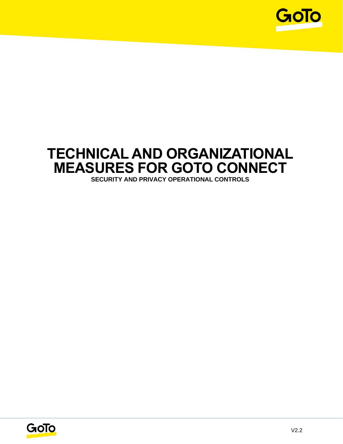

## **TECHNICAL AND ORGANIZATIONAL MEASURES FOR GOTO CONNECT SECURITY AND PRIVACY OPERATIONAL CONTROLS**

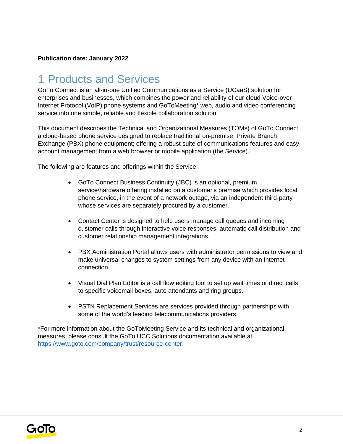#### **Publication date: January 2022**

## 1 Products and Services

GoTo Connect is an all-in-one Unified Communications as a Service (UCaaS) solution for enterprises and businesses, which combines the power and reliability of our cloud Voice-over-Internet Protocol (VoIP) phone systems and GoToMeeting\* web, audio and video conferencing service into one simple, reliable and flexible collaboration solution.

This document describes the Technical and Organizational Measures (TOMs) of GoTo Connect, a cloud-based phone service designed to replace traditional on-premise, Private Branch Exchange (PBX) phone equipment; offering a robust suite of communications features and easy account management from a web browser or mobile application (the Service).

The following are features and offerings within the Service:

- GoTo Connect Business Continuity (JBC) is an optional, premium service/hardware offering installed on a customer's premise which provides local phone service, in the event of a network outage, via an independent third-party whose services are separately procured by a customer.
- Contact Center is designed to help users manage call queues and incoming customer calls through interactive voice responses, automatic call distribution and customer relationship management integrations.
- PBX Administration Portal allows users with administrator permissions to view and make universal changes to system settings from any device with an Internet connection.
- Visual Dial Plan Editor is a call flow editing tool to set up wait times or direct calls to specific voicemail boxes, auto attendants and ring groups.
- PSTN Replacement Services are services provided through partnerships with some of the world's leading telecommunications providers.

\*For more information about the GoToMeeting Service and its technical and organizational measures, please consult the GoTo UCC Solutions documentation available at [https://www.goto.com/company/trust/resource-center.](https://www.goto.com/company/trust/resource-center)

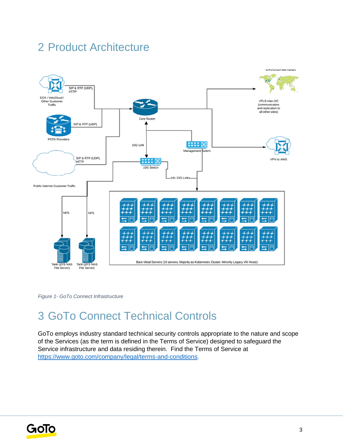## 2 Product Architecture



*Figure 1- GoTo Connect Infrastructure*

## 3 GoTo Connect Technical Controls

GoTo employs industry standard technical security controls appropriate to the nature and scope of the Services (as the term is defined in the Terms of Service) designed to safeguard the Service infrastructure and data residing therein. Find the Terms of Service a[t](http://www.logmein.com/legal/terms-and-conditions) [https://www.goto.com/company/legal/terms-and-conditions.](https://www.goto.com/company/legal/terms-and-conditions)

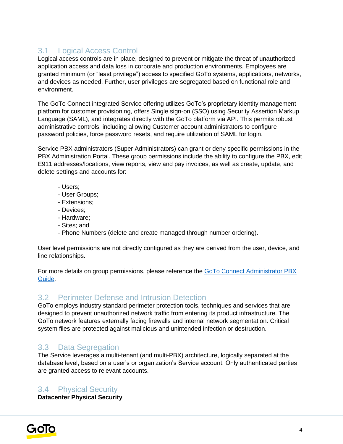#### 3.1 Logical Access Control

Logical access controls are in place, designed to prevent or mitigate the threat of unauthorized application access and data loss in corporate and production environments. Employees are granted minimum (or "least privilege") access to specified GoTo systems, applications, networks, and devices as needed. Further, user privileges are segregated based on functional role and environment.

The GoTo Connect integrated Service offering utilizes GoTo's proprietary identity management platform for customer provisioning, offers Single sign-on (SSO) using Security Assertion Markup Language (SAML), and integrates directly with the GoTo platform via API. This permits robust administrative controls, including allowing Customer account administrators to configure password policies, force password resets, and require utilization of SAML for login.

Service PBX administrators (Super Administrators) can grant or deny specific permissions in the PBX Administration Portal. These group permissions include the ability to configure the PBX, edit E911 addresses/locations, view reports, view and pay invoices, as well as create, update, and delete settings and accounts for:

- Users;
- User Groups;
- Extensions;
- Devices;
- Hardware;
- Sites; and
- Phone Numbers (delete and create managed through number ordering).

User level permissions are not directly configured as they are derived from the user, device, and line relationships.

For more details on group permissions, please reference the GoTo Connect Administrator PBX [Guide.](https://www.goto.com/connect/hosted-pbx)

#### 3.2 Perimeter Defense and Intrusion Detection

GoTo employs industry standard perimeter protection tools, techniques and services that are designed to prevent unauthorized network traffic from entering its product infrastructure. The GoTo network features externally facing firewalls and internal network segmentation. Critical system files are protected against malicious and unintended infection or destruction.

## 3.3 Data Segregation

The Service leverages a multi-tenant (and multi-PBX) architecture, logically separated at the database level, based on a user's or organization's Service account. Only authenticated parties are granted access to relevant accounts.

#### 3.4 Physical Security

**Datacenter Physical Security**

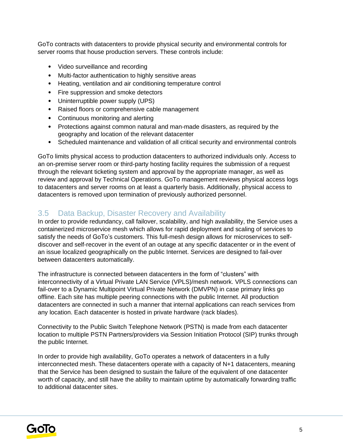GoTo contracts with datacenters to provide physical security and environmental controls for server rooms that house production servers. These controls include:

- Video surveillance and recording
- Multi-factor authentication to highly sensitive areas
- Heating, ventilation and air conditioning temperature control
- Fire suppression and smoke detectors
- Uninterruptible power supply (UPS)
- Raised floors or comprehensive cable management
- Continuous monitoring and alerting
- Protections against common natural and man-made disasters, as required by the geography and location of the relevant datacenter
- Scheduled maintenance and validation of all critical security and environmental controls

GoTo limits physical access to production datacenters to authorized individuals only. Access to an on-premise server room or third-party hosting facility requires the submission of a request through the relevant ticketing system and approval by the appropriate manager, as well as review and approval by Technical Operations. GoTo management reviews physical access logs to datacenters and server rooms on at least a quarterly basis. Additionally, physical access to datacenters is removed upon termination of previously authorized personnel.

#### 3.5 Data Backup, Disaster Recovery and Availability

In order to provide redundancy, call failover, scalability, and high availability, the Service uses a containerized microservice mesh which allows for rapid deployment and scaling of services to satisfy the needs of GoTo's customers. This full-mesh design allows for microservices to selfdiscover and self-recover in the event of an outage at any specific datacenter or in the event of an issue localized geographically on the public Internet. Services are designed to fail-over between datacenters automatically.

The infrastructure is connected between datacenters in the form of "clusters" with interconnectivity of a Virtual Private LAN Service (VPLS)/mesh network. VPLS connections can fail-over to a Dynamic Multipoint Virtual Private Network (DMVPN) in case primary links go offline. Each site has multiple peering connections with the public Internet. All production datacenters are connected in such a manner that internal applications can reach services from any location. Each datacenter is hosted in private hardware (rack blades).

Connectivity to the Public Switch Telephone Network (PSTN) is made from each datacenter location to multiple PSTN Partners/providers via Session Initiation Protocol (SIP) trunks through the public Internet.

In order to provide high availability, GoTo operates a network of datacenters in a fully interconnected mesh. These datacenters operate with a capacity of N+1 datacenters, meaning that the Service has been designed to sustain the failure of the equivalent of one datacenter worth of capacity, and still have the ability to maintain uptime by automatically forwarding traffic to additional datacenter sites.

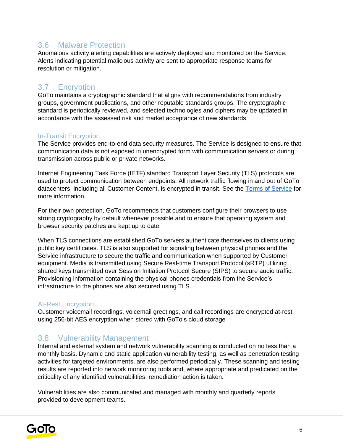#### 3.6 Malware Protection

Anomalous activity alerting capabilities are actively deployed and monitored on the Service. Alerts indicating potential malicious activity are sent to appropriate response teams for resolution or mitigation.

#### 3.7 Encryption

GoTo maintains a cryptographic standard that aligns with recommendations from industry groups, government publications, and other reputable standards groups. The cryptographic standard is periodically reviewed, and selected technologies and ciphers may be updated in accordance with the assessed risk and market acceptance of new standards.

#### In-Transit Encryption

The Service provides end-to-end data security measures. The Service is designed to ensure that communication data is not exposed in unencrypted form with communication servers or during transmission across public or private networks.

Internet Engineering Task Force (IETF) standard Transport Layer Security (TLS) protocols are used to protect communication between endpoints. All network traffic flowing in and out of GoTo datacenters, including all Customer Content, is encrypted in transit. See the [Terms of Service](https://www.goto.com/company/legal/terms-and-conditions) for more information.

For their own protection, GoTo recommends that customers configure their browsers to use strong cryptography by default whenever possible and to ensure that operating system and browser security patches are kept up to date.

When TLS connections are established GoTo servers authenticate themselves to clients using public key certificates. TLS is also supported for signaling between physical phones and the Service infrastructure to secure the traffic and communication when supported by Customer equipment. Media is transmitted using Secure Real-time Transport Protocol (sRTP) utilizing shared keys transmitted over Session Initiation Protocol Secure (SIPS) to secure audio traffic. Provisioning information containing the physical phones credentials from the Service's infrastructure to the phones are also secured using TLS.

#### At-Rest Encryption

Customer voicemail recordings, voicemail greetings, and call recordings are encrypted at-rest using 256-bit AES encryption when stored with GoTo's cloud storage

#### 3.8 Vulnerability Management

Internal and external system and network vulnerability scanning is conducted on no less than a monthly basis. Dynamic and static application vulnerability testing, as well as penetration testing activities for targeted environments, are also performed periodically. These scanning and testing results are reported into network monitoring tools and, where appropriate and predicated on the criticality of any identified vulnerabilities, remediation action is taken.

Vulnerabilities are also communicated and managed with monthly and quarterly reports provided to development teams.

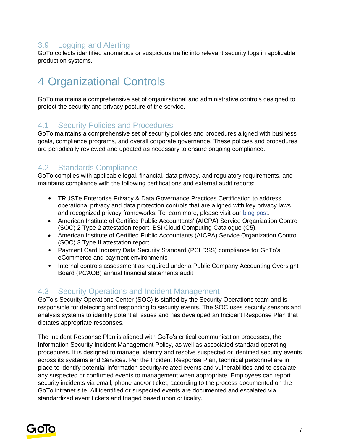#### 3.9 Logging and Alerting

GoTo collects identified anomalous or suspicious traffic into relevant security logs in applicable production systems.

## 4 Organizational Controls

GoTo maintains a comprehensive set of organizational and administrative controls designed to protect the security and privacy posture of the service.

#### 4.1 Security Policies and Procedures

GoTo maintains a comprehensive set of security policies and procedures aligned with business goals, compliance programs, and overall corporate governance. These policies and procedures are periodically reviewed and updated as necessary to ensure ongoing compliance.

#### 4.2 Standards Compliance

GoTo complies with applicable legal, financial, data privacy, and regulatory requirements, and maintains compliance with the following certifications and external audit reports:

- TRUSTe Enterprise Privacy & Data Governance Practices Certification to address operational privacy and data protection controls that are aligned with key privacy laws and recognized privacy frameworks. To learn more, please visit ou[r](https://blog.logmeininc.com/logmein-furthers-commitment-to-data-privacy-with-truste-enterprise-privacy-certification-seal/?lang=en) [blog post](https://www.goto.com/blog/logmein-furthers-commitment-to-data-privacy-with-truste-enterprise-privacy-certification-seal)[.](https://blog.logmeininc.com/logmein-furthers-commitment-to-data-privacy-with-truste-enterprise-privacy-certification-seal/?lang=en)
- American Institute of Certified Public Accountants' (AICPA) Service Organization Control (SOC) 2 Type 2 attestation report. BSI Cloud Computing Catalogue (C5).
- American Institute of Certified Public Accountants (AICPA) Service Organization Control (SOC) 3 Type II attestation report
- Payment Card Industry Data Security Standard (PCI DSS) compliance for GoTo's eCommerce and payment environments
- Internal controls assessment as required under a Public Company Accounting Oversight Board (PCAOB) annual financial statements audit

#### 4.3 Security Operations and Incident Management

GoTo's Security Operations Center (SOC) is staffed by the Security Operations team and is responsible for detecting and responding to security events. The SOC uses security sensors and analysis systems to identify potential issues and has developed an Incident Response Plan that dictates appropriate responses.

The Incident Response Plan is aligned with GoTo's critical communication processes, the Information Security Incident Management Policy, as well as associated standard operating procedures. It is designed to manage, identify and resolve suspected or identified security events across its systems and Services. Per the Incident Response Plan, technical personnel are in place to identify potential information security-related events and vulnerabilities and to escalate any suspected or confirmed events to management when appropriate. Employees can report security incidents via email, phone and/or ticket, according to the process documented on the GoTo intranet site. All identified or suspected events are documented and escalated via standardized event tickets and triaged based upon criticality.

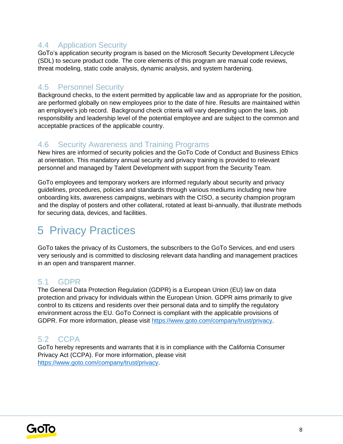#### 4.4 Application Security

GoTo's application security program is based on the Microsoft Security Development Lifecycle (SDL) to secure product code. The core elements of this program are manual code reviews, threat modeling, static code analysis, dynamic analysis, and system hardening.

#### 4.5 Personnel Security

Background checks, to the extent permitted by applicable law and as appropriate for the position, are performed globally on new employees prior to the date of hire. Results are maintained within an employee's job record. Background check criteria will vary depending upon the laws, job responsibility and leadership level of the potential employee and are subject to the common and acceptable practices of the applicable country.

#### 4.6 Security Awareness and Training Programs

New hires are informed of security policies and the GoTo Code of Conduct and Business Ethics at orientation. This mandatory annual security and privacy training is provided to relevant personnel and managed by Talent Development with support from the Security Team.

GoTo employees and temporary workers are informed regularly about security and privacy guidelines, procedures, policies and standards through various mediums including new hire onboarding kits, awareness campaigns, webinars with the CISO, a security champion program and the display of posters and other collateral, rotated at least bi-annually, that illustrate methods for securing data, devices, and facilities.

## 5 Privacy Practices

GoTo takes the privacy of its Customers, the subscribers to the GoTo Services, and end users very seriously and is committed to disclosing relevant data handling and management practices in an open and transparent manner.

#### 5.1 GDPR

The General Data Protection Regulation (GDPR) is a European Union (EU) law on data protection and privacy for individuals within the European Union. GDPR aims primarily to give control to its citizens and residents over their personal data and to simplify the regulatory environment across the EU. GoTo Connect is compliant with the applicable provisions of GDPR. For more information, please visit [https://www.goto.com/company/trust/privacy.](https://www.goto.com/company/trust/privacy)

### 5.2 CCPA

GoTo hereby represents and warrants that it is in compliance with the California Consumer Privacy Act (CCPA). For more information, please visit [https://www.goto.com/company/trust/privacy.](https://www.goto.com/company/trust/privacy)

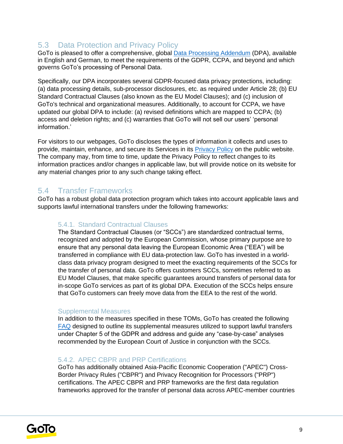### 5.3 Data Protection and Privacy Policy

GoTo is pleased to offer a comprehensive, global [Data Processing Addendum](https://www.goto.com/company/legal) (DPA), available in [English](https://www.docusign.net/Member/PowerFormSigning.aspx?PowerFormId=87db4c61-3929-4ccb-ab58-b202e064c4a1) and [German,](https://www.docusign.net/Member/PowerFormSigning.aspx?PowerFormId=29541afa-3cf0-4d7c-90f8-e971a0866b8e&env=na1) to meet the requirements of the GDPR, CCPA, and beyond and which governs GoTo's processing of Personal Data.

Specifically, our DPA incorporates several GDPR-focused data privacy protections, including: (a) data processing details, sub-processor disclosures, etc. as required under Article 28; (b) EU Standard Contractual Clauses (also known as the EU Model Clauses); and (c) inclusion of GoTo's technical and organizational measures. Additionally, to account for CCPA, we have updated our global DPA to include: (a) revised definitions which are mapped to CCPA; (b) access and deletion rights; and (c) warranties that GoTo will not sell our users' 'personal information.'

For visitors to our webpages, GoTo discloses the types of information it collects and uses to provide, maintain, enhance, and secure its Services in its [Privacy Policy](https://www.goto.com/company/legal/privacy) on the public website. The company may, from time to time, update the Privacy Policy to reflect changes to its information practices and/or changes in applicable law, but will provide notice on its website for any material changes prior to any such change taking effect.

#### 5.4 Transfer Frameworks

GoTo has a robust global data protection program which takes into account applicable laws and supports lawful international transfers under the following frameworks:

#### 5.4.1. Standard Contractual Clauses

The Standard Contractual Clauses (or "SCCs") are standardized contractual terms, recognized and adopted by the European Commission, whose primary purpose are to ensure that any personal data leaving the European Economic Area ("EEA") will be transferred in compliance with EU data-protection law. GoTo has invested in a worldclass data privacy program designed to meet the exacting requirements of the SCCs for the transfer of personal data. GoTo offers customers SCCs, sometimes referred to as EU Model Clauses, that make specific guarantees around transfers of personal data for in-scope GoTo services as part of its global DPA. Execution of the SCCs helps ensure that GoTo customers can freely move data from the EEA to the rest of the world.

#### Supplemental Measures

In addition to the measures specified in these TOMs, GoTo has created the following [FAQ](https://logmeincdn.azureedge.net/legal/international-data-transfers-faq.pdf) designed to outline its supplemental measures utilized to support lawful transfers under Chapter 5 of the GDPR and address and guide any "case-by-case" analyses recommended by the European Court of Justice in conjunction with the SCCs.

#### 5.4.2. APEC CBPR and PRP Certifications

GoTo has additionally obtained Asia-Pacific Economic Cooperation ("APEC") Cross-Border Privacy Rules ("CBPR") and Privacy Recognition for Processors ("PRP") certifications. The APEC CBPR and PRP frameworks are the first data regulation frameworks approved for the transfer of personal data across APEC-member countries

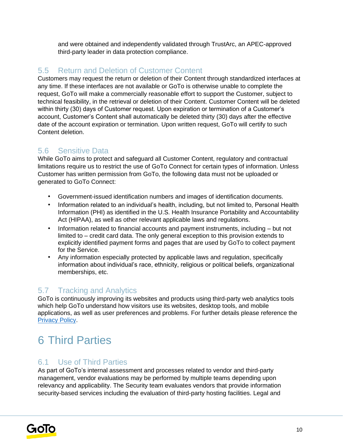and were obtained and independently validated through TrustArc, an APEC-approved third-party leader in data protection compliance.

### 5.5 Return and Deletion of Customer Content

Customers may request the return or deletion of their Content through standardized interfaces at any time. If these interfaces are not available or GoTo is otherwise unable to complete the request, GoTo will make a commercially reasonable effort to support the Customer, subject to technical feasibility, in the retrieval or deletion of their Content. Customer Content will be deleted within thirty (30) days of Customer request. Upon expiration or termination of a Customer's account, Customer's Content shall automatically be deleted thirty (30) days after the effective date of the account expiration or termination. Upon written request, GoTo will certify to such Content deletion.

## 5.6 Sensitive Data

While GoTo aims to protect and safeguard all Customer Content, regulatory and contractual limitations require us to restrict the use of GoTo Connect for certain types of information. Unless Customer has written permission from GoTo, the following data must not be uploaded or generated to GoTo Connect:

- Government-issued identification numbers and images of identification documents.
- Information related to an individual's health, including, but not limited to, Personal Health Information (PHI) as identified in the U.S. Health Insurance Portability and Accountability Act (HIPAA), as well as other relevant applicable laws and regulations.
- Information related to financial accounts and payment instruments, including but not limited to – credit card data. The only general exception to this provision extends to explicitly identified payment forms and pages that are used by GoTo to collect payment for the Service.
- Any information especially protected by applicable laws and regulation, specifically information about individual's race, ethnicity, religious or political beliefs, organizational memberships, etc.

### 5.7 Tracking and Analytics

GoTo is continuously improving its websites and products using third-party web analytics tools which help GoTo understand how visitors use its websites, desktop tools, and mobile applications, as well as user preferences and problems. For further details please reference the [Privacy Policy](https://www.goto.com/company/legal/privacy)[.](https://www.logmein.com/legal/privacy)

# 6 Third Parties

### 6.1 Use of Third Parties

As part of GoTo's internal assessment and processes related to vendor and third-party management, vendor evaluations may be performed by multiple teams depending upon relevancy and applicability. The Security team evaluates vendors that provide information security-based services including the evaluation of third-party hosting facilities. Legal and